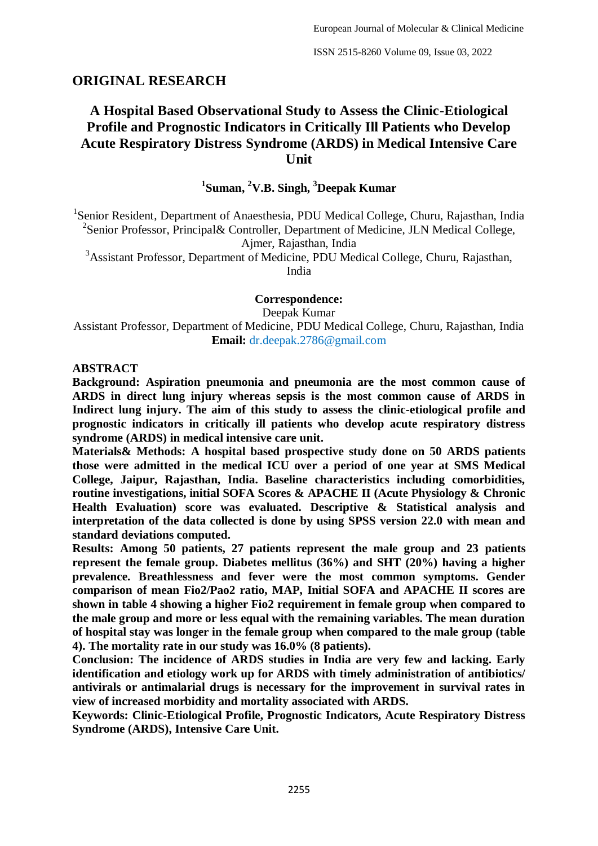## **ORIGINAL RESEARCH**

# **A Hospital Based Observational Study to Assess the Clinic-Etiological Profile and Prognostic Indicators in Critically Ill Patients who Develop Acute Respiratory Distress Syndrome (ARDS) in Medical Intensive Care Unit**

# **1 Suman, <sup>2</sup>V.B. Singh, <sup>3</sup>Deepak Kumar**

<sup>1</sup>Senior Resident, Department of Anaesthesia, PDU Medical College, Churu, Rajasthan, India <sup>2</sup>Senior Professor, Principal& Controller, Department of Medicine, JLN Medical College,

Ajmer, Rajasthan, India

<sup>3</sup>Assistant Professor, Department of Medicine, PDU Medical College, Churu, Rajasthan, India

**Correspondence:**

Deepak Kumar

Assistant Professor, Department of Medicine, PDU Medical College, Churu, Rajasthan, India **Email:** dr.deepak.2786@gmail.com

#### **ABSTRACT**

**Background: Aspiration pneumonia and pneumonia are the most common cause of ARDS in direct lung injury whereas sepsis is the most common cause of ARDS in Indirect lung injury. The aim of this study to assess the clinic-etiological profile and prognostic indicators in critically ill patients who develop acute respiratory distress syndrome (ARDS) in medical intensive care unit.**

**Materials& Methods: A hospital based prospective study done on 50 ARDS patients those were admitted in the medical ICU over a period of one year at SMS Medical College, Jaipur, Rajasthan, India. Baseline characteristics including comorbidities, routine investigations, initial SOFA Scores & APACHE II (Acute Physiology & Chronic Health Evaluation) score was evaluated. Descriptive & Statistical analysis and interpretation of the data collected is done by using SPSS version 22.0 with mean and standard deviations computed.**

**Results: Among 50 patients, 27 patients represent the male group and 23 patients represent the female group. Diabetes mellitus (36%) and SHT (20%) having a higher prevalence. Breathlessness and fever were the most common symptoms. Gender comparison of mean Fio2/Pao2 ratio, MAP, Initial SOFA and APACHE II scores are shown in table 4 showing a higher Fio2 requirement in female group when compared to the male group and more or less equal with the remaining variables. The mean duration of hospital stay was longer in the female group when compared to the male group (table 4). The mortality rate in our study was 16.0% (8 patients).**

**Conclusion: The incidence of ARDS studies in India are very few and lacking. Early identification and etiology work up for ARDS with timely administration of antibiotics/ antivirals or antimalarial drugs is necessary for the improvement in survival rates in view of increased morbidity and mortality associated with ARDS.**

**Keywords: Clinic-Etiological Profile, Prognostic Indicators, Acute Respiratory Distress Syndrome (ARDS), Intensive Care Unit.**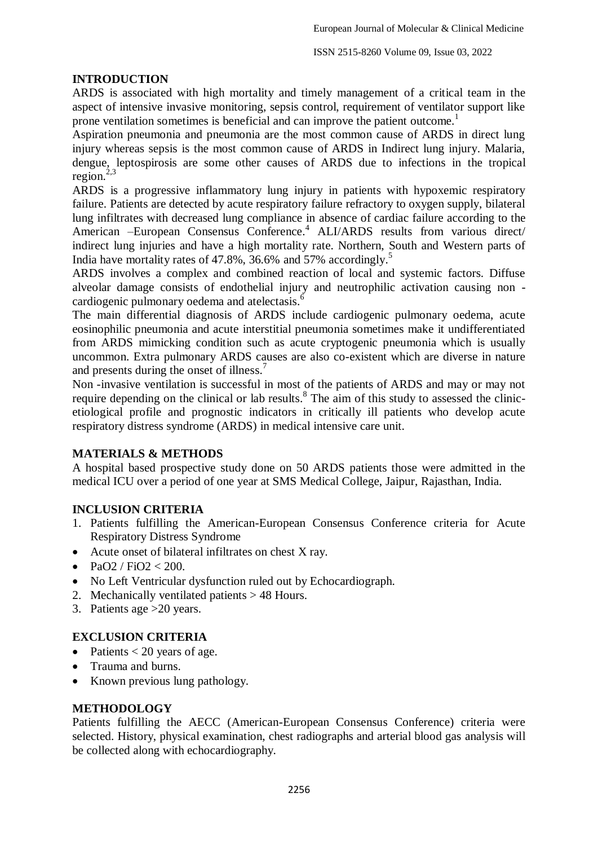#### **INTRODUCTION**

ARDS is associated with high mortality and timely management of a critical team in the aspect of intensive invasive monitoring, sepsis control, requirement of ventilator support like prone ventilation sometimes is beneficial and can improve the patient outcome.<sup>1</sup>

Aspiration pneumonia and pneumonia are the most common cause of ARDS in direct lung injury whereas sepsis is the most common cause of ARDS in Indirect lung injury. Malaria, dengue, leptospirosis are some other causes of ARDS due to infections in the tropical region. 2,3

ARDS is a progressive inflammatory lung injury in patients with hypoxemic respiratory failure. Patients are detected by acute respiratory failure refractory to oxygen supply, bilateral lung infiltrates with decreased lung compliance in absence of cardiac failure according to the American –European Consensus Conference. <sup>4</sup> ALI/ARDS results from various direct/ indirect lung injuries and have a high mortality rate. Northern, South and Western parts of India have mortality rates of 47.8%, 36.6% and 57% accordingly. 5

ARDS involves a complex and combined reaction of local and systemic factors. Diffuse alveolar damage consists of endothelial injury and neutrophilic activation causing non cardiogenic pulmonary oedema and atelectasis.<sup>6</sup>

The main differential diagnosis of ARDS include cardiogenic pulmonary oedema, acute eosinophilic pneumonia and acute interstitial pneumonia sometimes make it undifferentiated from ARDS mimicking condition such as acute cryptogenic pneumonia which is usually uncommon. Extra pulmonary ARDS causes are also co-existent which are diverse in nature and presents during the onset of illness. 7

Non -invasive ventilation is successful in most of the patients of ARDS and may or may not require depending on the clinical or lab results.<sup>8</sup> The aim of this study to assessed the clinicetiological profile and prognostic indicators in critically ill patients who develop acute respiratory distress syndrome (ARDS) in medical intensive care unit.

## **MATERIALS & METHODS**

A hospital based prospective study done on 50 ARDS patients those were admitted in the medical ICU over a period of one year at SMS Medical College, Jaipur, Rajasthan, India.

## **INCLUSION CRITERIA**

- 1. Patients fulfilling the American-European Consensus Conference criteria for Acute Respiratory Distress Syndrome
- Acute onset of bilateral infiltrates on chest X ray.
- PaO2 / FiO2 < 200.
- No Left Ventricular dysfunction ruled out by Echocardiograph.
- 2. Mechanically ventilated patients > 48 Hours.
- 3. Patients age >20 years.

## **EXCLUSION CRITERIA**

- Patients  $<$  20 years of age.
- Trauma and burns.
- Known previous lung pathology.

#### **METHODOLOGY**

Patients fulfilling the AECC (American-European Consensus Conference) criteria were selected. History, physical examination, chest radiographs and arterial blood gas analysis will be collected along with echocardiography.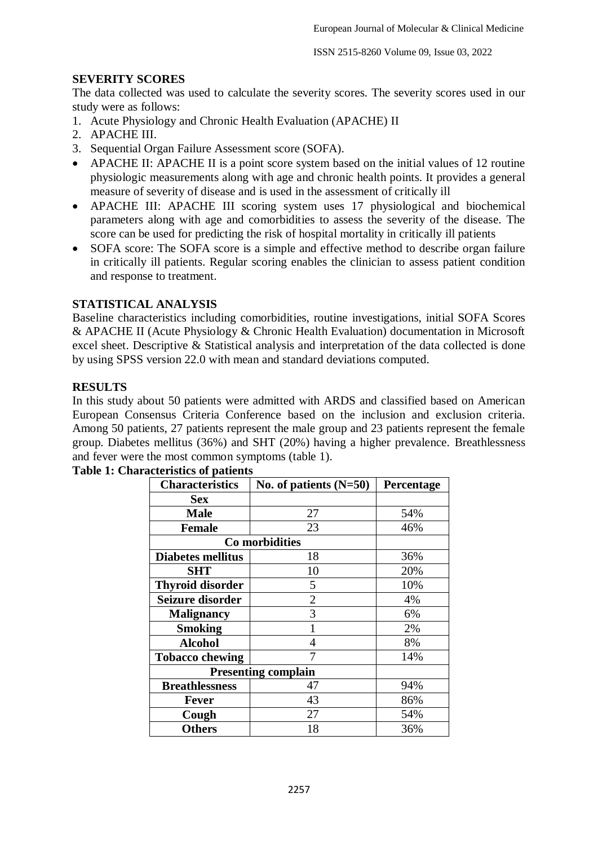## **SEVERITY SCORES**

The data collected was used to calculate the severity scores. The severity scores used in our study were as follows:

- 1. Acute Physiology and Chronic Health Evaluation (APACHE) II
- 2. APACHE III.
- 3. Sequential Organ Failure Assessment score (SOFA).
- APACHE II: APACHE II is a point score system based on the initial values of 12 routine physiologic measurements along with age and chronic health points. It provides a general measure of severity of disease and is used in the assessment of critically ill
- APACHE III: APACHE III scoring system uses 17 physiological and biochemical parameters along with age and comorbidities to assess the severity of the disease. The score can be used for predicting the risk of hospital mortality in critically ill patients
- SOFA score: The SOFA score is a simple and effective method to describe organ failure in critically ill patients. Regular scoring enables the clinician to assess patient condition and response to treatment.

### **STATISTICAL ANALYSIS**

Baseline characteristics including comorbidities, routine investigations, initial SOFA Scores & APACHE II (Acute Physiology & Chronic Health Evaluation) documentation in Microsoft excel sheet. Descriptive & Statistical analysis and interpretation of the data collected is done by using SPSS version 22.0 with mean and standard deviations computed.

### **RESULTS**

In this study about 50 patients were admitted with ARDS and classified based on American European Consensus Criteria Conference based on the inclusion and exclusion criteria. Among 50 patients, 27 patients represent the male group and 23 patients represent the female group. Diabetes mellitus (36%) and SHT (20%) having a higher prevalence. Breathlessness and fever were the most common symptoms (table 1).

| <b>Characteristics</b>     | No. of patients $(N=50)$ | Percentage |  |
|----------------------------|--------------------------|------------|--|
| <b>Sex</b>                 |                          |            |  |
| <b>Male</b>                | 27                       | 54%        |  |
| <b>Female</b>              | 23                       | 46%        |  |
| Co morbidities             |                          |            |  |
| <b>Diabetes mellitus</b>   | 18                       | 36%        |  |
| SHT                        | 10                       | 20%        |  |
| <b>Thyroid disorder</b>    | 5                        | 10%        |  |
| Seizure disorder           | $\overline{2}$           | 4%         |  |
| <b>Malignancy</b>          | 3                        | 6%         |  |
| <b>Smoking</b>             |                          | 2%         |  |
| <b>Alcohol</b>             | 4                        | 8%         |  |
| <b>Tobacco chewing</b>     |                          | 14%        |  |
| <b>Presenting complain</b> |                          |            |  |
| <b>Breathlessness</b>      | 47                       | 94%        |  |
| <b>Fever</b>               | 43                       | 86%        |  |
| Cough                      | 27                       | 54%        |  |
| <b>Others</b>              | 18                       | 36%        |  |

#### **Table 1: Characteristics of patients**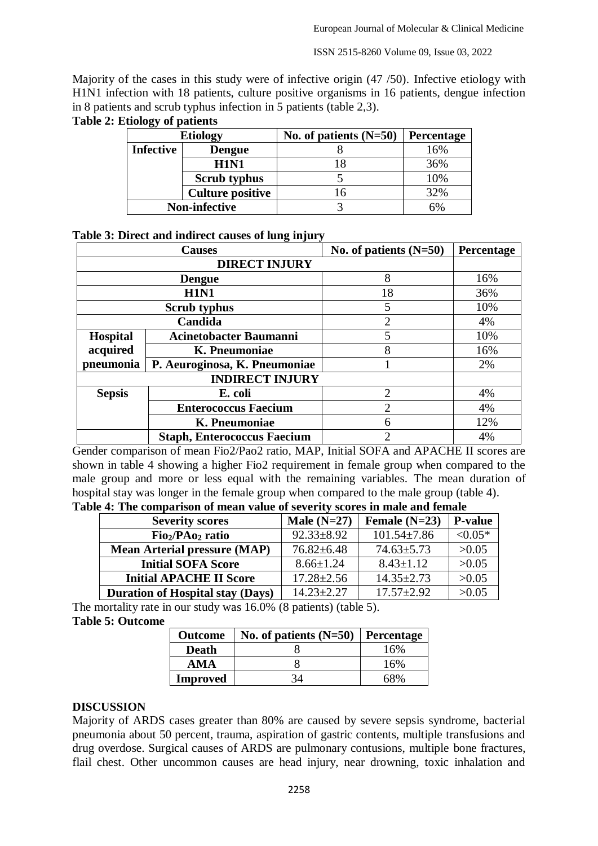ISSN 2515-8260 Volume 09, Issue 03, 2022

Majority of the cases in this study were of infective origin (47 /50). Infective etiology with H1N1 infection with 18 patients, culture positive organisms in 16 patients, dengue infection in 8 patients and scrub typhus infection in 5 patients (table 2,3).

|                  | <b>Etiology</b>         | No. of patients $(N=50)$ | Percentage |
|------------------|-------------------------|--------------------------|------------|
| <b>Infective</b> | <b>Dengue</b>           |                          | 16%        |
|                  | <b>H1N1</b>             | 18                       | 36%        |
|                  | <b>Scrub</b> typhus     |                          | 10%        |
|                  | <b>Culture positive</b> | 16                       | 32%        |
|                  | <b>Non-infective</b>    |                          | 6%         |

#### **Table 2: Etiology of patients**

#### **Table 3: Direct and indirect causes of lung injury**

|                        | <b>Causes</b>                      | No. of patients $(N=50)$    | Percentage |
|------------------------|------------------------------------|-----------------------------|------------|
|                        | <b>DIRECT INJURY</b>               |                             |            |
|                        | <b>Dengue</b>                      | 8                           | 16%        |
|                        | <b>H1N1</b>                        | 18                          | 36%        |
|                        | <b>Scrub typhus</b>                | 5                           | 10%        |
|                        | Candida                            | $\mathcal{D}_{\mathcal{L}}$ | 4%         |
| <b>Hospital</b>        | <b>Acinetobacter Baumanni</b>      | 5                           | 10%        |
| acquired               | K. Pneumoniae                      | 8                           | 16%        |
| pneumonia              | P. Aeuroginosa, K. Pneumoniae      |                             | 2%         |
| <b>INDIRECT INJURY</b> |                                    |                             |            |
| <b>Sepsis</b>          | E. coli                            | $\overline{2}$              | 4%         |
|                        | <b>Enterococcus Faecium</b>        | 2                           | 4%         |
|                        | K. Pneumoniae                      | 6                           | 12%        |
|                        | <b>Staph, Enterococcus Faecium</b> | 2                           | 4%         |

Gender comparison of mean Fio2/Pao2 ratio, MAP, Initial SOFA and APACHE II scores are shown in table 4 showing a higher Fio2 requirement in female group when compared to the male group and more or less equal with the remaining variables. The mean duration of hospital stay was longer in the female group when compared to the male group (table 4).

| <b>Severity scores</b>                  | Male $(N=27)$    | Female $(N=23)$   | <b>P-value</b> |
|-----------------------------------------|------------------|-------------------|----------------|
| $Fio2/PAo2$ ratio                       | $92.33 \pm 8.92$ | $101.54 \pm 7.86$ | $< 0.05*$      |
| <b>Mean Arterial pressure (MAP)</b>     | $76.82 \pm 6.48$ | $74.63 \pm 5.73$  | >0.05          |
| <b>Initial SOFA Score</b>               | $8.66 \pm 1.24$  | $8.43 \pm 1.12$   | >0.05          |
| <b>Initial APACHE II Score</b>          | $17.28 \pm 2.56$ | $14.35 \pm 2.73$  | >0.05          |
| <b>Duration of Hospital stay (Days)</b> | $14.23 \pm 2.27$ | $17.57 \pm 2.92$  | >0.05          |

**Table 4: The comparison of mean value of severity scores in male and female**

The mortality rate in our study was 16.0% (8 patients) (table 5). **Table 5: Outcome**

| <b>Outcome</b>  | No. of patients $(N=50)$ | <b>Percentage</b> |
|-----------------|--------------------------|-------------------|
| <b>Death</b>    |                          | 16%               |
| AMA             |                          | 16%               |
| <b>Improved</b> |                          | 68%               |

#### **DISCUSSION**

Majority of ARDS cases greater than 80% are caused by severe sepsis syndrome, bacterial pneumonia about 50 percent, trauma, aspiration of gastric contents, multiple transfusions and drug overdose. Surgical causes of ARDS are pulmonary contusions, multiple bone fractures, flail chest. Other uncommon causes are head injury, near drowning, toxic inhalation and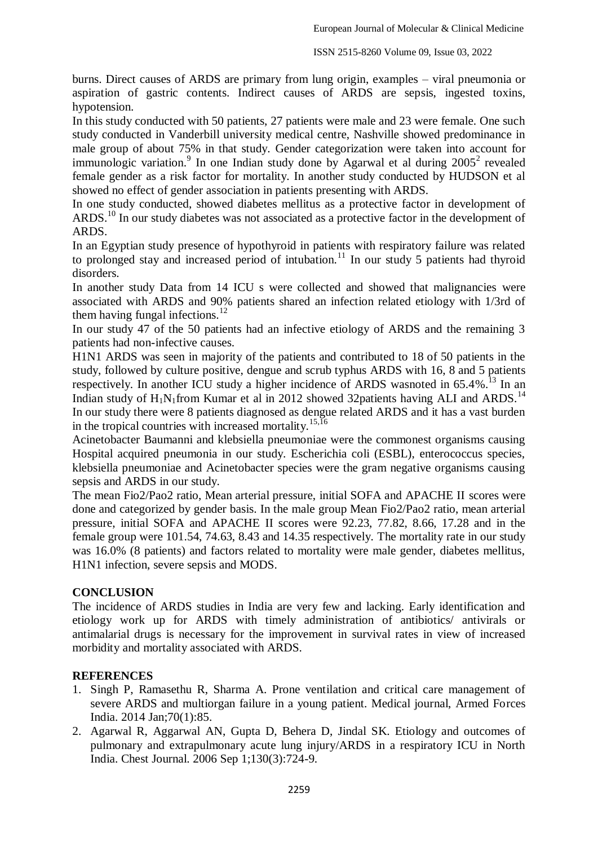burns. Direct causes of ARDS are primary from lung origin, examples – viral pneumonia or aspiration of gastric contents. Indirect causes of ARDS are sepsis, ingested toxins, hypotension.

In this study conducted with 50 patients, 27 patients were male and 23 were female. One such study conducted in Vanderbill university medical centre, Nashville showed predominance in male group of about 75% in that study. Gender categorization were taken into account for immunologic variation.<sup>9</sup> In one Indian study done by Agarwal et al during 2005<sup>2</sup> revealed female gender as a risk factor for mortality. In another study conducted by HUDSON et al showed no effect of gender association in patients presenting with ARDS.

In one study conducted, showed diabetes mellitus as a protective factor in development of ARDS.<sup>10</sup> In our study diabetes was not associated as a protective factor in the development of ARDS.

In an Egyptian study presence of hypothyroid in patients with respiratory failure was related to prolonged stay and increased period of intubation.<sup>11</sup> In our study 5 patients had thyroid disorders.

In another study Data from 14 ICU s were collected and showed that malignancies were associated with ARDS and 90% patients shared an infection related etiology with 1/3rd of them having fungal infections. $^{12}$ 

In our study 47 of the 50 patients had an infective etiology of ARDS and the remaining 3 patients had non-infective causes.

H1N1 ARDS was seen in majority of the patients and contributed to 18 of 50 patients in the study, followed by culture positive, dengue and scrub typhus ARDS with 16, 8 and 5 patients respectively. In another ICU study a higher incidence of ARDS wasnoted in 65.4%.<sup>13</sup> In an Indian study of  $H_1N_1$ from Kumar et al in 2012 showed 32patients having ALI and ARDS.<sup>14</sup> In our study there were 8 patients diagnosed as dengue related ARDS and it has a vast burden in the tropical countries with increased mortality.<sup>15,16</sup>

Acinetobacter Baumanni and klebsiella pneumoniae were the commonest organisms causing Hospital acquired pneumonia in our study. Escherichia coli (ESBL), enterococcus species, klebsiella pneumoniae and Acinetobacter species were the gram negative organisms causing sepsis and ARDS in our study.

The mean Fio2/Pao2 ratio, Mean arterial pressure, initial SOFA and APACHE II scores were done and categorized by gender basis. In the male group Mean Fio2/Pao2 ratio, mean arterial pressure, initial SOFA and APACHE II scores were 92.23, 77.82, 8.66, 17.28 and in the female group were 101.54, 74.63, 8.43 and 14.35 respectively. The mortality rate in our study was 16.0% (8 patients) and factors related to mortality were male gender, diabetes mellitus, H1N1 infection, severe sepsis and MODS.

## **CONCLUSION**

The incidence of ARDS studies in India are very few and lacking. Early identification and etiology work up for ARDS with timely administration of antibiotics/ antivirals or antimalarial drugs is necessary for the improvement in survival rates in view of increased morbidity and mortality associated with ARDS.

## **REFERENCES**

- 1. Singh P, Ramasethu R, Sharma A. Prone ventilation and critical care management of severe ARDS and multiorgan failure in a young patient. Medical journal, Armed Forces India. 2014 Jan;70(1):85.
- 2. Agarwal R, Aggarwal AN, Gupta D, Behera D, Jindal SK. Etiology and outcomes of pulmonary and extrapulmonary acute lung injury/ARDS in a respiratory ICU in North India. Chest Journal. 2006 Sep 1;130(3):724-9.